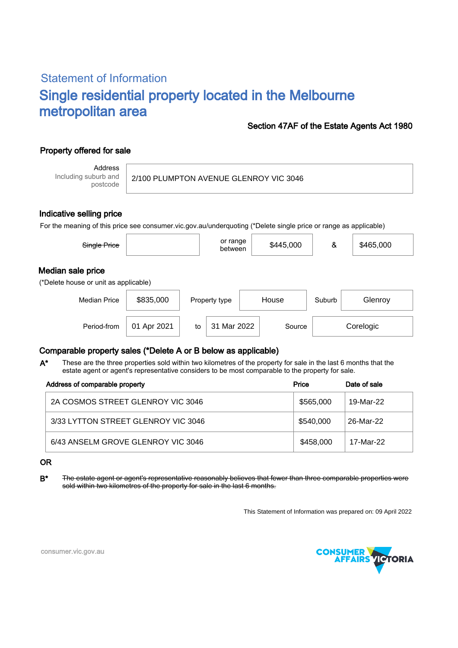# Statement of Information Single residential property located in the Melbourne metropolitan area

## Section 47AF of the Estate Agents Act 1980

## Property offered for sale

Address Including suburb and postcode

2/100 PLUMPTON AVENUE GLENROY VIC 3046

### Indicative selling price

For the meaning of this price see consumer.vic.gov.au/underquoting (\*Delete single price or range as applicable)

| Single Price                                               |             |    | or range<br>between |       | \$445,000 | &      | \$465,000 |
|------------------------------------------------------------|-------------|----|---------------------|-------|-----------|--------|-----------|
| Median sale price<br>(*Delete house or unit as applicable) |             |    |                     |       |           |        |           |
| <b>Median Price</b>                                        | \$835,000   |    | Property type       | House |           | Suburb | Glenroy   |
| Period-from                                                | 01 Apr 2021 | to | Mar 2022<br>31      |       | Source    |        | Corelogic |

### Comparable property sales (\*Delete A or B below as applicable)

These are the three properties sold within two kilometres of the property for sale in the last 6 months that the estate agent or agent's representative considers to be most comparable to the property for sale. A\*

| Address of comparable property      | Price     | Date of sale |
|-------------------------------------|-----------|--------------|
| 2A COSMOS STREET GLENROY VIC 3046   | \$565,000 | 19-Mar-22    |
| 3/33 LYTTON STREET GLENROY VIC 3046 | \$540.000 | 26-Mar-22    |
| 6/43 ANSELM GROVE GLENROY VIC 3046  | \$458,000 | 17-Mar-22    |

OR

B<sup>\*</sup> The estate agent or agent's representative reasonably believes that fewer than three comparable properties were sold within two kilometres of the property for sale in the last 6 months.

This Statement of Information was prepared on: 09 April 2022



consumer.vic.gov.au